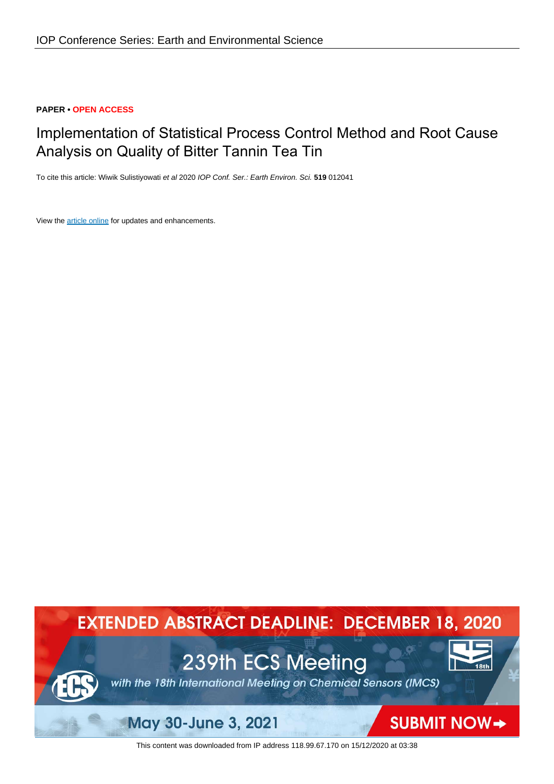## **PAPER • OPEN ACCESS**

# Implementation of Statistical Process Control Method and Root Cause Analysis on Quality of Bitter Tannin Tea Tin

To cite this article: Wiwik Sulistiyowati et al 2020 IOP Conf. Ser.: Earth Environ. Sci. **519** 012041

View the [article online](https://doi.org/10.1088/1755-1315/519/1/012041) for updates and enhancements.



This content was downloaded from IP address 118.99.67.170 on 15/12/2020 at 03:38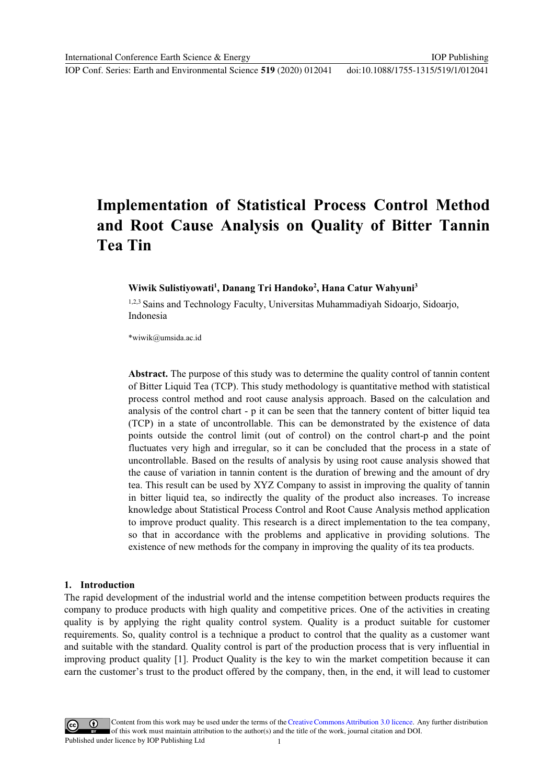# **Implementation of Statistical Process Control Method** and Root Cause Analysis on Quality of Bitter Tannin **Tea Tin**

#### Wiwik Sulistiyowati<sup>1</sup>, Danang Tri Handoko<sup>2</sup>, Hana Catur Wahyuni<sup>3</sup>

1,2,3 Sains and Technology Faculty, Universitas Muhammadiyah Sidoarjo, Sidoarjo, Indonesia

\*wiwik@umsida.ac.id

**Abstract.** The purpose of this study was to determine the quality control of tannin content of Bitter Liquid Tea (TCP). This study methodology is quantitative method with statistical process control method and root cause analysis approach. Based on the calculation and analysis of the control chart - p it can be seen that the tannery content of bitter liquid tea (TCP) in a state of uncontrollable. This can be demonstrated by the existence of data points outside the control limit (out of control) on the control chart-p and the point fluctuates very high and irregular, so it can be concluded that the process in a state of uncontrollable. Based on the results of analysis by using root cause analysis showed that the cause of variation in tannin content is the duration of brewing and the amount of dry tea. This result can be used by XYZ Company to assist in improving the quality of tannin in bitter liquid tea, so indirectly the quality of the product also increases. To increase knowledge about Statistical Process Control and Root Cause Analysis method application to improve product quality. This research is a direct implementation to the tea company, so that in accordance with the problems and applicative in providing solutions. The existence of new methods for the company in improving the quality of its tea products.

#### 1. Introduction

The rapid development of the industrial world and the intense competition between products requires the company to produce products with high quality and competitive prices. One of the activities in creating quality is by applying the right quality control system. Quality is a product suitable for customer requirements. So, quality control is a technique a product to control that the quality as a customer want and suitable with the standard. Quality control is part of the production process that is very influential in improving product quality [1]. Product Quality is the key to win the market competition because it can earn the customer's trust to the product offered by the company, then, in the end, it will lead to customer

Content from this work may be used under the terms of the Creative Commons Attribution 3.0 licence. Any further distribution of this work must maintain attribution to the author(s) and the title of the work, journal citation and DOI. Published under licence by IOP Publishing Ltd  $\mathbf{1}$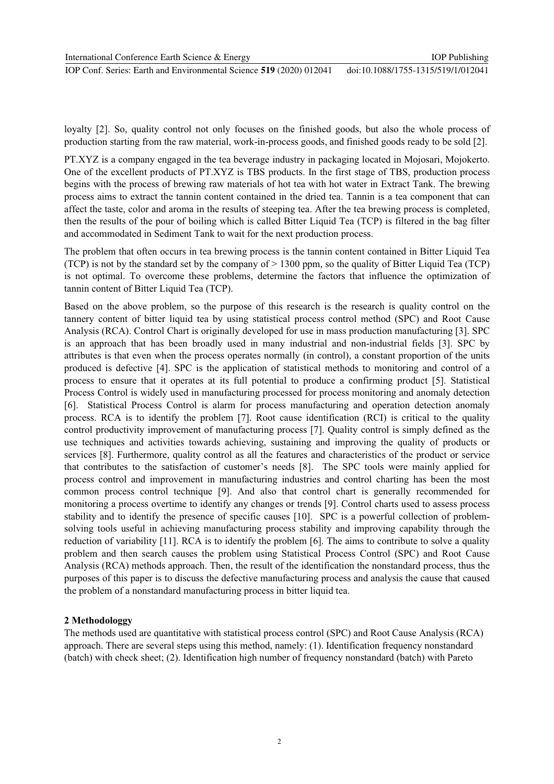IOP Conf. Series: Earth and Environmental Science 519 (2020) 012041

loyalty [2]. So, quality control not only focuses on the finished goods, but also the whole process of production starting from the raw material, work-in-process goods, and finished goods ready to be sold [2].

PT.XYZ is a company engaged in the tea beverage industry in packaging located in Mojosari. Mojokerto, One of the excellent products of PT.XYZ is TBS products. In the first stage of TBS, production process begins with the process of brewing raw materials of hot tea with hot water in Extract Tank. The brewing process aims to extract the tannin content contained in the dried tea. Tannin is a tea component that can affect the taste, color and aroma in the results of steeping tea. After the tea brewing process is completed, then the results of the pour of boiling which is called Bitter Liquid Tea (TCP) is filtered in the bag filter and accommodated in Sediment Tank to wait for the next production process.

The problem that often occurs in tea brewing process is the tannin content contained in Bitter Liquid Tea (TCP) is not by the standard set by the company of  $> 1300$  ppm, so the quality of Bitter Liquid Tea (TCP) is not optimal. To overcome these problems, determine the factors that influence the optimization of tannin content of Bitter Liquid Tea (TCP).

Based on the above problem, so the purpose of this research is the research is quality control on the tannery content of bitter liquid tea by using statistical process control method (SPC) and Root Cause Analysis (RCA). Control Chart is originally developed for use in mass production manufacturing [3]. SPC is an approach that has been broadly used in many industrial and non-industrial fields [3]. SPC by attributes is that even when the process operates normally (in control), a constant proportion of the units produced is defective [4]. SPC is the application of statistical methods to monitoring and control of a process to ensure that it operates at its full potential to produce a confirming product [5]. Statistical Process Control is widely used in manufacturing processed for process monitoring and anomaly detection [6]. Statistical Process Control is alarm for process manufacturing and operation detection anomaly process. RCA is to identify the problem [7]. Root cause identification (RCI) is critical to the quality control productivity improvement of manufacturing process [7]. Quality control is simply defined as the use techniques and activities towards achieving, sustaining and improving the quality of products or services [8]. Furthermore, quality control as all the features and characteristics of the product or service that contributes to the satisfaction of customer's needs [8]. The SPC tools were mainly applied for process control and improvement in manufacturing industries and control charting has been the most common process control technique [9]. And also that control chart is generally recommended for monitoring a process overtime to identify any changes or trends [9]. Control charts used to assess process stability and to identify the presence of specific causes [10]. SPC is a powerful collection of problemsolving tools useful in achieving manufacturing process stability and improving capability through the reduction of variability [11]. RCA is to identify the problem [6]. The aims to contribute to solve a quality problem and then search causes the problem using Statistical Process Control (SPC) and Root Cause Analysis (RCA) methods approach. Then, the result of the identification the nonstandard process, thus the purposes of this paper is to discuss the defective manufacturing process and analysis the cause that caused the problem of a nonstandard manufacturing process in bitter liquid tea.

#### 2 Methodologgy

The methods used are quantitative with statistical process control (SPC) and Root Cause Analysis (RCA) approach. There are several steps using this method, namely: (1). Identification frequency nonstandard (batch) with check sheet; (2). Identification high number of frequency nonstandard (batch) with Pareto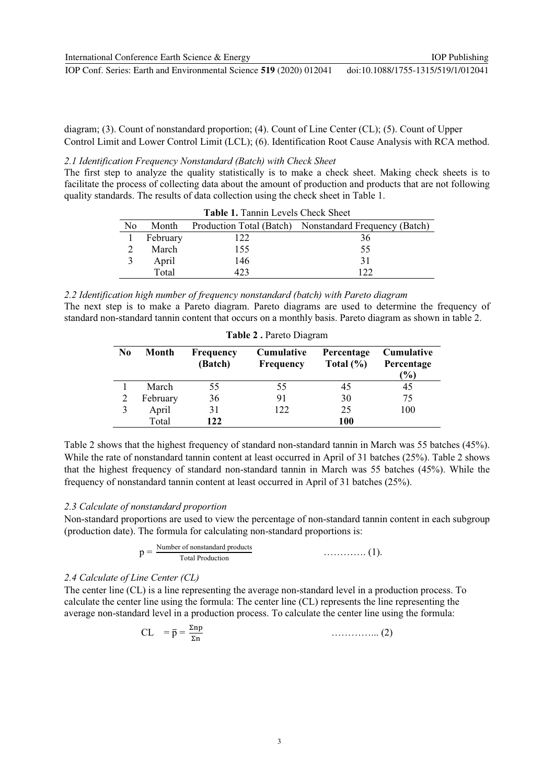diagram; (3). Count of nonstandard proportion; (4). Count of Line Center (CL); (5). Count of Upper Control Limit and Lower Control Limit (LCL); (6). Identification Root Cause Analysis with RCA method.

2.1 Identification Frequency Nonstandard (Batch) with Check Sheet

The first step to analyze the quality statistically is to make a check sheet. Making check sheets is to facilitate the process of collecting data about the amount of production and products that are not following quality standards. The results of data collection using the check sheet in Table 1.

| Table 1. Tannin Levels Check Sheet |          |      |                                                        |  |  |  |
|------------------------------------|----------|------|--------------------------------------------------------|--|--|--|
| No                                 | Month    |      | Production Total (Batch) Nonstandard Frequency (Batch) |  |  |  |
|                                    | February | 122  | 36                                                     |  |  |  |
|                                    | March    | 155  | 55                                                     |  |  |  |
|                                    | April    | 146  | 31                                                     |  |  |  |
|                                    | Total    | 423. | 1 7 7                                                  |  |  |  |

2.2 Identification high number of frequency nonstandard (batch) with Pareto diagram The next step is to make a Pareto diagram. Pareto diagrams are used to determine the frequency of standard non-standard tannin content that occurs on a monthly basis. Pareto diagram as shown in table 2.

| Table 2. Pareto Diagram |          |                      |                                       |                             |                                                  |  |  |
|-------------------------|----------|----------------------|---------------------------------------|-----------------------------|--------------------------------------------------|--|--|
| N <sub>0</sub>          | Month    | Frequency<br>(Batch) | <b>Cumulative</b><br><b>Frequency</b> | Percentage<br>Total $(\% )$ | <b>Cumulative</b><br>Percentage<br>$\frac{9}{6}$ |  |  |
|                         | March    | 55                   | 55                                    | 45                          | 45                                               |  |  |
|                         | February | 36                   | 91                                    | 30                          | 75                                               |  |  |
|                         | April    | 31                   | 122                                   | 25                          | 100                                              |  |  |
|                         | Total    | 122                  |                                       | <b>100</b>                  |                                                  |  |  |

Table 2 shows that the highest frequency of standard non-standard tannin in March was 55 batches (45%). While the rate of nonstandard tannin content at least occurred in April of 31 batches (25%). Table 2 shows that the highest frequency of standard non-standard tannin in March was 55 batches (45%). While the frequency of nonstandard tannin content at least occurred in April of 31 batches (25%).

### 2.3 Calculate of nonstandard proportion

Non-standard proportions are used to view the percentage of non-standard tannin content in each subgroup (production date). The formula for calculating non-standard proportions is:

$$
p = \frac{\text{Number of nonstandard products}}{\text{Total Production}}
$$
 (1)

# 2.4 Calculate of Line Center (CL)

The center line (CL) is a line representing the average non-standard level in a production process. To calculate the center line using the formula: The center line (CL) represents the line representing the average non-standard level in a production process. To calculate the center line using the formula:

$$
CL = \bar{p} = \frac{\Sigma np}{\Sigma n}
$$
 (2)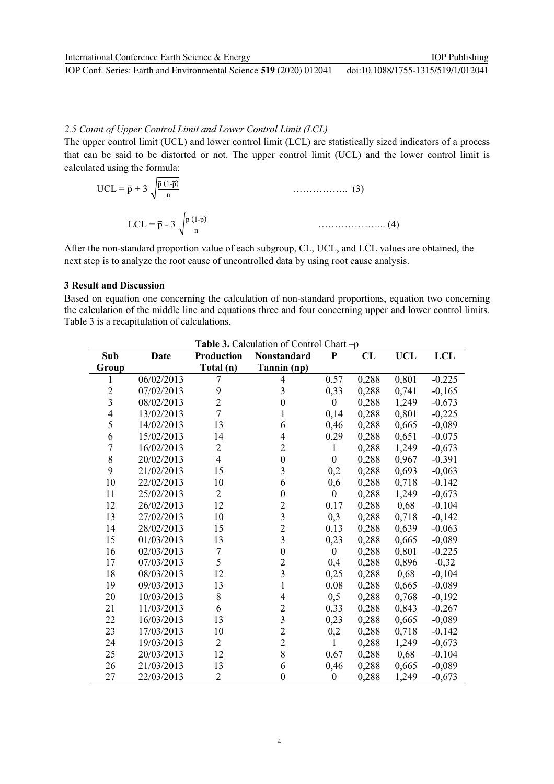# 2.5 Count of Upper Control Limit and Lower Control Limit (LCL)

The upper control limit (UCL) and lower control limit (LCL) are statistically sized indicators of a process that can be said to be distorted or not. The upper control limit (UCL) and the lower control limit is calculated using the formula:

$$
UCL = \overline{p} + 3 \sqrt{\frac{\overline{p}(1-\overline{p})}{n}}
$$
 (3)  
 
$$
LCL = \overline{p} - 3 \sqrt{\frac{\overline{p}(1-\overline{p})}{n}}
$$
 (4)

After the non-standard proportion value of each subgroup, CL, UCL, and LCL values are obtained, the next step is to analyze the root cause of uncontrolled data by using root cause analysis.

#### **3 Result and Discussion**

Based on equation one concerning the calculation of non-standard proportions, equation two concerning the calculation of the middle line and equations three and four concerning upper and lower control limits. Table 3 is a recapitulation of calculations.

| Table 3. Calculation of Control Chart-p |            |                   |                  |                  |       |            |            |
|-----------------------------------------|------------|-------------------|------------------|------------------|-------|------------|------------|
| Sub                                     | Date       | <b>Production</b> | Nonstandard      | ${\bf P}$        | CL    | <b>UCL</b> | <b>LCL</b> |
| Group                                   |            | Total (n)         | Tannin (np)      |                  |       |            |            |
| 1                                       | 06/02/2013 | $\overline{7}$    | $\overline{4}$   | 0,57             | 0,288 | 0,801      | $-0,225$   |
| $\overline{c}$                          | 07/02/2013 | 9                 | 3                | 0,33             | 0,288 | 0,741      | $-0,165$   |
| $\overline{\mathbf{3}}$                 | 08/02/2013 | $\overline{2}$    | $\boldsymbol{0}$ | $\boldsymbol{0}$ | 0,288 | 1,249      | $-0,673$   |
| $\overline{4}$                          | 13/02/2013 | $\overline{7}$    | 1                | 0,14             | 0,288 | 0,801      | $-0,225$   |
| 5                                       | 14/02/2013 | 13                | 6                | 0,46             | 0,288 | 0,665      | $-0,089$   |
| 6                                       | 15/02/2013 | 14                | 4                | 0,29             | 0,288 | 0,651      | $-0,075$   |
| $\overline{7}$                          | 16/02/2013 | $\overline{c}$    | $\overline{2}$   | 1                | 0,288 | 1,249      | $-0,673$   |
| 8                                       | 20/02/2013 | $\overline{4}$    | $\boldsymbol{0}$ | $\mathbf{0}$     | 0,288 | 0,967      | $-0,391$   |
| 9                                       | 21/02/2013 | 15                | 3                | 0,2              | 0,288 | 0,693      | $-0,063$   |
| 10                                      | 22/02/2013 | 10                | 6                | 0,6              | 0,288 | 0,718      | $-0,142$   |
| 11                                      | 25/02/2013 | $\overline{2}$    | $\boldsymbol{0}$ | $\boldsymbol{0}$ | 0,288 | 1,249      | $-0,673$   |
| 12                                      | 26/02/2013 | 12                | $\overline{c}$   | 0,17             | 0,288 | 0,68       | $-0,104$   |
| 13                                      | 27/02/2013 | 10                | $\overline{3}$   | 0,3              | 0,288 | 0,718      | $-0,142$   |
| 14                                      | 28/02/2013 | 15                | $\overline{c}$   | 0,13             | 0,288 | 0,639      | $-0,063$   |
| 15                                      | 01/03/2013 | 13                | $\overline{3}$   | 0,23             | 0,288 | 0,665      | $-0,089$   |
| 16                                      | 02/03/2013 | $\sqrt{ }$        | $\boldsymbol{0}$ | $\theta$         | 0,288 | 0,801      | $-0,225$   |
| 17                                      | 07/03/2013 | 5                 | $\mathbf{2}$     | 0,4              | 0,288 | 0,896      | $-0,32$    |
| 18                                      | 08/03/2013 | 12                | $\overline{3}$   | 0,25             | 0,288 | 0,68       | $-0,104$   |
| 19                                      | 09/03/2013 | 13                | $\mathbf{1}$     | 0,08             | 0,288 | 0,665      | $-0,089$   |
| 20                                      | 10/03/2013 | 8                 | 4                | 0,5              | 0,288 | 0,768      | $-0,192$   |
| 21                                      | 11/03/2013 | 6                 | $\overline{c}$   | 0,33             | 0,288 | 0,843      | $-0,267$   |
| 22                                      | 16/03/2013 | 13                | $\overline{3}$   | 0,23             | 0,288 | 0,665      | $-0,089$   |
| 23                                      | 17/03/2013 | 10                | $\overline{c}$   | 0,2              | 0,288 | 0,718      | $-0,142$   |
| 24                                      | 19/03/2013 | $\overline{2}$    | $\overline{c}$   | 1                | 0,288 | 1,249      | $-0,673$   |
| 25                                      | 20/03/2013 | 12                | 8                | 0,67             | 0,288 | 0,68       | $-0,104$   |
| 26                                      | 21/03/2013 | 13                | 6                | 0,46             | 0,288 | 0,665      | $-0,089$   |
| 27                                      | 22/03/2013 | $\overline{2}$    | $\boldsymbol{0}$ | $\boldsymbol{0}$ | 0,288 | 1,249      | $-0,673$   |

 $\overline{4}$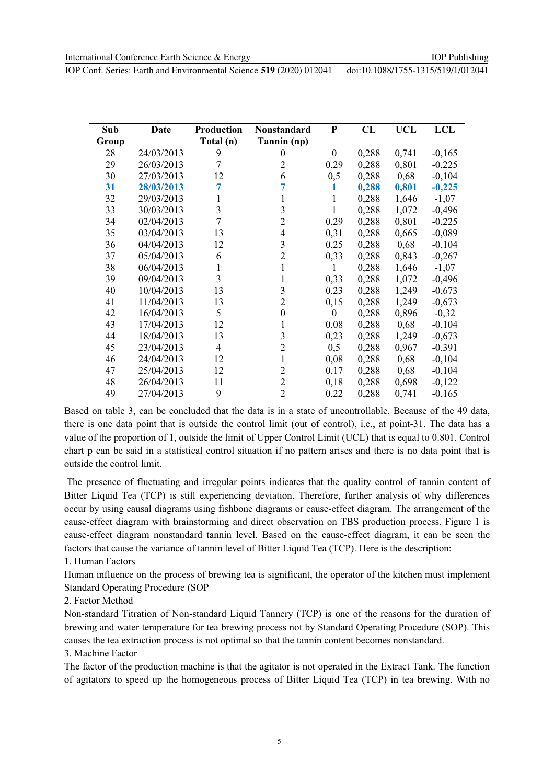| Sub   | Date       | <b>Production</b> | Nonstandard      | ${\bf P}$        | CL    | <b>UCL</b> | <b>LCL</b> |
|-------|------------|-------------------|------------------|------------------|-------|------------|------------|
| Group |            | Total (n)         | Tannin (np)      |                  |       |            |            |
| 28    | 24/03/2013 | 9                 | $\boldsymbol{0}$ | $\boldsymbol{0}$ | 0,288 | 0,741      | $-0,165$   |
| 29    | 26/03/2013 | 7                 | $\overline{2}$   | 0,29             | 0,288 | 0,801      | $-0,225$   |
| 30    | 27/03/2013 | 12                | 6                | 0,5              | 0,288 | 0,68       | $-0,104$   |
| 31    | 28/03/2013 | 7                 |                  | 1                | 0,288 | 0,801      | $-0,225$   |
| 32    | 29/03/2013 | 1                 | 1                | 1                | 0,288 | 1,646      | $-1,07$    |
| 33    | 30/03/2013 | $\overline{3}$    | 3                | $\mathbf{1}$     | 0,288 | 1,072      | $-0,496$   |
| 34    | 02/04/2013 | 7                 | $\overline{2}$   | 0,29             | 0,288 | 0,801      | $-0,225$   |
| 35    | 03/04/2013 | 13                | 4                | 0,31             | 0,288 | 0,665      | $-0,089$   |
| 36    | 04/04/2013 | 12                | 3                | 0,25             | 0,288 | 0,68       | $-0,104$   |
| 37    | 05/04/2013 | 6                 | $\overline{2}$   | 0,33             | 0,288 | 0,843      | $-0,267$   |
| 38    | 06/04/2013 | 1                 | 1                | 1                | 0,288 | 1,646      | $-1,07$    |
| 39    | 09/04/2013 | 3                 | 1                | 0,33             | 0,288 | 1,072      | $-0,496$   |
| 40    | 10/04/2013 | 13                | 3                | 0,23             | 0,288 | 1,249      | $-0,673$   |
| 41    | 11/04/2013 | 13                | 2                | 0,15             | 0,288 | 1,249      | $-0,673$   |
| 42    | 16/04/2013 | 5                 | $\boldsymbol{0}$ | $\boldsymbol{0}$ | 0,288 | 0,896      | $-0,32$    |
| 43    | 17/04/2013 | 12                | 1                | 0,08             | 0,288 | 0,68       | $-0,104$   |
| 44    | 18/04/2013 | 13                | 3                | 0,23             | 0,288 | 1,249      | $-0,673$   |
| 45    | 23/04/2013 | $\overline{4}$    | 2                | 0,5              | 0,288 | 0,967      | $-0,391$   |
| 46    | 24/04/2013 | 12                | 1                | 0,08             | 0,288 | 0,68       | $-0,104$   |
| 47    | 25/04/2013 | 12                | $\overline{2}$   | 0,17             | 0,288 | 0,68       | $-0,104$   |
| 48    | 26/04/2013 | 11                | $\overline{2}$   | 0,18             | 0,288 | 0,698      | $-0,122$   |
| 49    | 27/04/2013 | 9                 | $\overline{2}$   | 0,22             | 0,288 | 0,741      | $-0,165$   |

Based on table 3, can be concluded that the data is in a state of uncontrollable. Because of the 49 data, there is one data point that is outside the control limit (out of control), i.e., at point-31. The data has a value of the proportion of 1, outside the limit of Upper Control Limit (UCL) that is equal to 0.801. Control chart p can be said in a statistical control situation if no pattern arises and there is no data point that is outside the control limit.

The presence of fluctuating and irregular points indicates that the quality control of tannin content of Bitter Liquid Tea (TCP) is still experiencing deviation. Therefore, further analysis of why differences occur by using causal diagrams using fishbone diagrams or cause-effect diagram. The arrangement of the cause-effect diagram with brainstorming and direct observation on TBS production process. Figure 1 is cause-effect diagram nonstandard tannin level. Based on the cause-effect diagram, it can be seen the factors that cause the variance of tannin level of Bitter Liquid Tea (TCP). Here is the description:

1. Human Factors

Human influence on the process of brewing tea is significant, the operator of the kitchen must implement Standard Operating Procedure (SOP

2. Factor Method

Non-standard Titration of Non-standard Liquid Tannery (TCP) is one of the reasons for the duration of brewing and water temperature for tea brewing process not by Standard Operating Procedure (SOP). This causes the tea extraction process is not optimal so that the tannin content becomes nonstandard.

3. Machine Factor

The factor of the production machine is that the agitator is not operated in the Extract Tank. The function of agitators to speed up the homogeneous process of Bitter Liquid Tea (TCP) in tea brewing. With no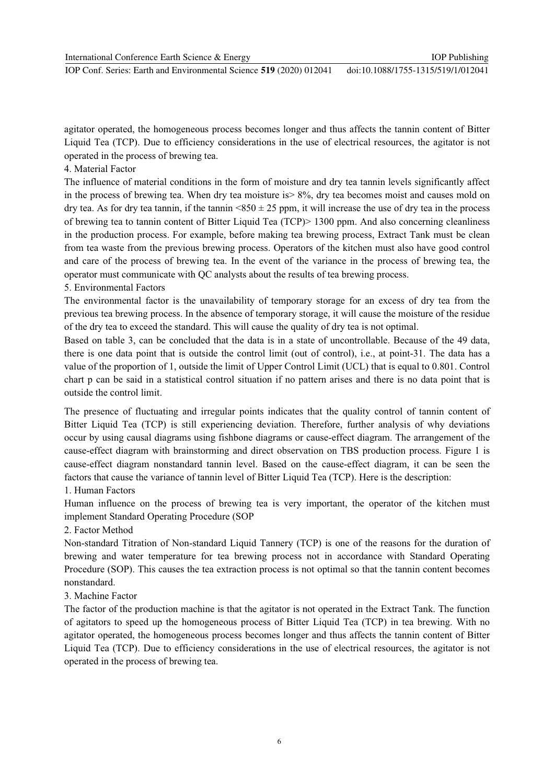IOP Conf. Series: Earth and Environmental Science 519 (2020) 012041

agitator operated, the homogeneous process becomes longer and thus affects the tannin content of Bitter Liquid Tea (TCP). Due to efficiency considerations in the use of electrical resources, the agitator is not operated in the process of brewing tea.

### 4. Material Factor

The influence of material conditions in the form of moisture and dry tea tannin levels significantly affect in the process of brewing tea. When dry tea moisture is  $> 8\%$ , dry tea becomes moist and causes mold on dry tea. As for dry tea tannin, if the tannin <850  $\pm$  25 ppm, it will increase the use of dry tea in the process of brewing tea to tannin content of Bitter Liquid Tea (TCP)> 1300 ppm. And also concerning cleanliness in the production process. For example, before making tea brewing process, Extract Tank must be clean from tea waste from the previous brewing process. Operators of the kitchen must also have good control and care of the process of brewing tea. In the event of the variance in the process of brewing tea, the operator must communicate with QC analysts about the results of tea brewing process.

# 5. Environmental Factors

The environmental factor is the unavailability of temporary storage for an excess of dry tea from the previous tea brewing process. In the absence of temporary storage, it will cause the moisture of the residue of the dry tea to exceed the standard. This will cause the quality of dry tea is not optimal.

Based on table 3, can be concluded that the data is in a state of uncontrollable. Because of the 49 data, there is one data point that is outside the control limit (out of control), i.e., at point-31. The data has a value of the proportion of 1, outside the limit of Upper Control Limit (UCL) that is equal to 0.801. Control chart p can be said in a statistical control situation if no pattern arises and there is no data point that is outside the control limit.

The presence of fluctuating and irregular points indicates that the quality control of tannin content of Bitter Liquid Tea (TCP) is still experiencing deviation. Therefore, further analysis of why deviations occur by using causal diagrams using fishbone diagrams or cause-effect diagram. The arrangement of the cause-effect diagram with brainstorming and direct observation on TBS production process. Figure 1 is cause-effect diagram nonstandard tannin level. Based on the cause-effect diagram, it can be seen the factors that cause the variance of tannin level of Bitter Liquid Tea (TCP). Here is the description:

# 1. Human Factors

Human influence on the process of brewing tea is very important, the operator of the kitchen must implement Standard Operating Procedure (SOP

2. Factor Method

Non-standard Titration of Non-standard Liquid Tannery (TCP) is one of the reasons for the duration of brewing and water temperature for tea brewing process not in accordance with Standard Operating Procedure (SOP). This causes the tea extraction process is not optimal so that the tannin content becomes nonstandard.

# 3. Machine Factor

The factor of the production machine is that the agitator is not operated in the Extract Tank. The function of agitators to speed up the homogeneous process of Bitter Liquid Tea (TCP) in tea brewing. With no agitator operated, the homogeneous process becomes longer and thus affects the tannin content of Bitter Liquid Tea (TCP). Due to efficiency considerations in the use of electrical resources, the agitator is not operated in the process of brewing tea.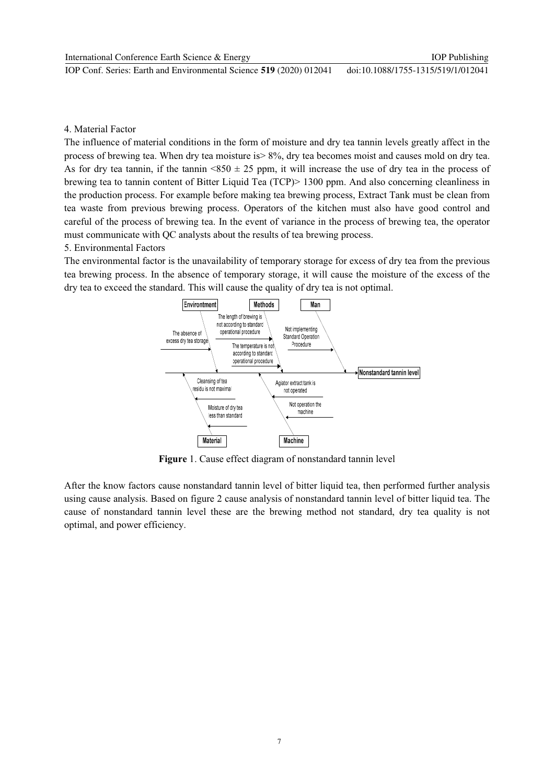doi:10.1088/1755-1315/519/1/012041 IOP Conf. Series: Earth and Environmental Science 519 (2020) 012041

### 4 Material Factor

The influence of material conditions in the form of moisture and dry tea tannin levels greatly affect in the process of brewing tea. When dry tea moisture is > 8%, dry tea becomes moist and causes mold on dry tea. As for dry tea tannin, if the tannin <850  $\pm$  25 ppm, it will increase the use of dry tea in the process of brewing tea to tannin content of Bitter Liquid Tea (TCP) > 1300 ppm. And also concerning cleanliness in the production process. For example before making tea brewing process, Extract Tank must be clean from tea waste from previous brewing process. Operators of the kitchen must also have good control and careful of the process of brewing tea. In the event of variance in the process of brewing tea, the operator must communicate with QC analysts about the results of tea brewing process.

#### 5. Environmental Factors

The environmental factor is the unavailability of temporary storage for excess of dry tea from the previous tea brewing process. In the absence of temporary storage, it will cause the moisture of the excess of the dry tea to exceed the standard. This will cause the quality of dry tea is not optimal.



Figure 1. Cause effect diagram of nonstandard tannin level

After the know factors cause nonstandard tannin level of bitter liquid tea, then performed further analysis using cause analysis. Based on figure 2 cause analysis of nonstandard tannin level of bitter liquid tea. The cause of nonstandard tannin level these are the brewing method not standard, dry tea quality is not optimal, and power efficiency.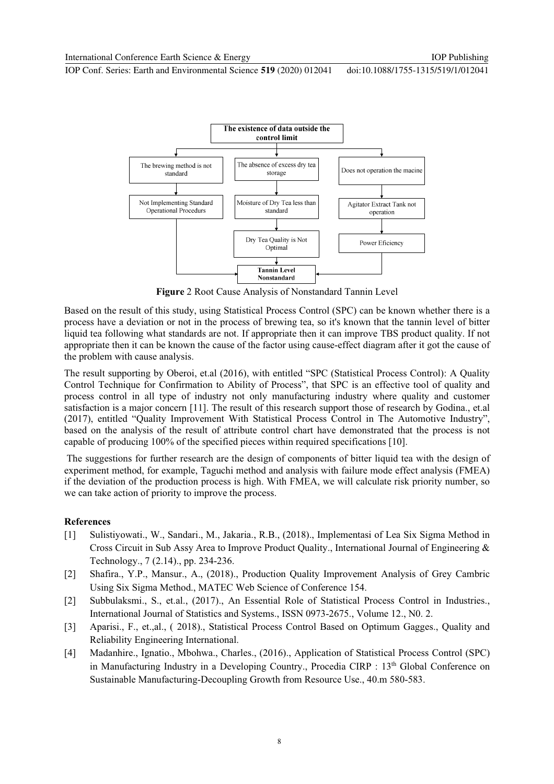

Figure 2 Root Cause Analysis of Nonstandard Tannin Level

Based on the result of this study, using Statistical Process Control (SPC) can be known whether there is a process have a deviation or not in the process of brewing tea, so it's known that the tannin level of bitter liquid tea following what standards are not. If appropriate then it can improve TBS product quality. If not appropriate then it can be known the cause of the factor using cause-effect diagram after it got the cause of the problem with cause analysis.

The result supporting by Oberoi, et.al (2016), with entitled "SPC (Statistical Process Control): A Quality Control Technique for Confirmation to Ability of Process", that SPC is an effective tool of quality and process control in all type of industry not only manufacturing industry where quality and customer satisfaction is a major concern [11]. The result of this research support those of research by Godina, et.al (2017), entitled "Quality Improvement With Statistical Process Control in The Automotive Industry", based on the analysis of the result of attribute control chart have demonstrated that the process is not capable of producing 100% of the specified pieces within required specifications [10].

The suggestions for further research are the design of components of bitter liquid tea with the design of experiment method, for example, Taguchi method and analysis with failure mode effect analysis (FMEA) if the deviation of the production process is high. With FMEA, we will calculate risk priority number, so we can take action of priority to improve the process.

### **References**

- Sulistiyowati., W., Sandari., M., Jakaria., R.B., (2018)., Implementasi of Lea Six Sigma Method in  $\lceil 1 \rceil$ Cross Circuit in Sub Assy Area to Improve Product Quality., International Journal of Engineering  $\&$ Technology., 7 (2.14)., pp. 234-236.
- $\lceil 2 \rceil$ Shafira., Y.P., Mansur., A., (2018)., Production Quality Improvement Analysis of Grey Cambric Using Six Sigma Method., MATEC Web Science of Conference 154.
- Subbulaksmi., S., et.al., (2017)., An Essential Role of Statistical Process Control in Industries.,  $\lceil 2 \rceil$ International Journal of Statistics and Systems., ISSN 0973-2675., Volume 12., No. 2.
- $[3]$ Aparisi., F., et., al., (2018)., Statistical Process Control Based on Optimum Gagges., Quality and Reliability Engineering International.
- Madanhire., Ignatio., Mbohwa., Charles., (2016)., Application of Statistical Process Control (SPC)  $[4]$ in Manufacturing Industry in a Developing Country., Procedia CIRP : 13<sup>th</sup> Global Conference on Sustainable Manufacturing-Decoupling Growth from Resource Use., 40.m 580-583.